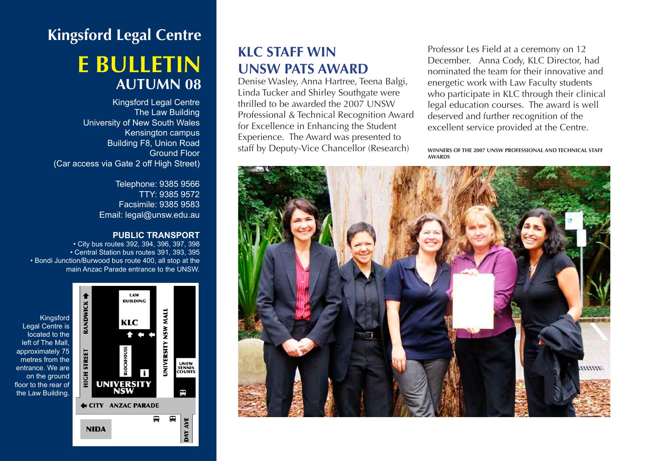# **Kingsford Legal Centre e bulletin autumn 08**

Kingsford Legal Centre The Law Building University of New South Wales Kensington campus Building F8, Union Road Ground Floor (Car access via Gate 2 off High Street)

> Telephone: 9385 9566 TTY: 9385 9572 Facsimile: 9385 9583 Email: legal@unsw.edu.au

#### **PUBLIC TRANSPORT**

• City bus routes 392, 394, 396, 397, 398 • Central Station bus routes 391, 393, 395 • Bondi Junction/Burwood bus route 400, all stop at the main Anzac Parade entrance to the UNSW.



#### **KLC Staff win UNSW PATS Award**

Denise Wasley, Anna Hartree, Teena Balgi, Linda Tucker and Shirley Southgate were thrilled to be awarded the 2007 UNSW Professional & Technical Recognition Award for Excellence in Enhancing the Student Experience. The Award was presented to staff by Deputy-Vice Chancellor (Research)

Professor Les Field at a ceremony on 12 December. Anna Cody, KLC Director, had nominated the team for their innovative and energetic work with Law Faculty students who participate in KLC through their clinical legal education courses. The award is well deserved and further recognition of the excellent service provided at the Centre.

**Winners of the 2007 UNSW Professional and Technical Staff Awards**

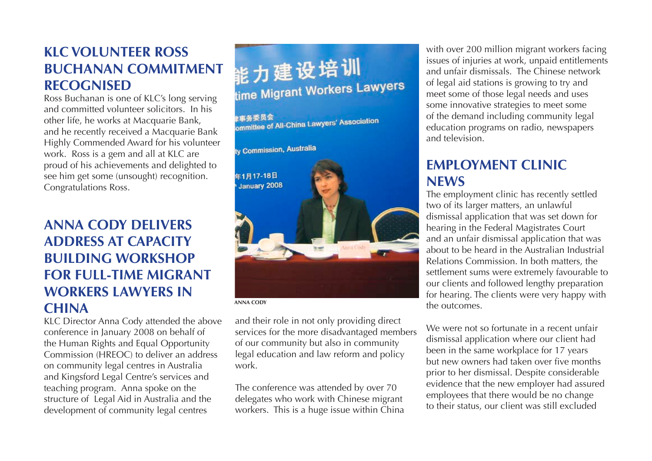### **KLC volunteer Ross Buchanan Commitment Recognised**

Ross Buchanan is one of KLC's long serving and committed volunteer solicitors. In his other life, he works at Macquarie Bank, and he recently received a Macquarie Bank Highly Commended Award for his volunteer work. Ross is a gem and all at KLC are proud of his achievements and delighted to see him get some (unsought) recognition. Congratulations Ross.

## **Anna Cody delivers address at Capacity Building Workshop for Full-Time Migrant Workers lawyers in China**

KLC Director Anna Cody attended the above conference in January 2008 on behalf of the Human Rights and Equal Opportunity Commission (HREOC) to deliver an address on community legal centres in Australia and Kingsford Legal Centre's services and teaching program. Anna spoke on the structure of Legal Aid in Australia and the development of community legal centres

能力建设培训 time Migrant Workers Lawyers

事务委员会 ⋭事务委员会<br>ommittee of All-China Lawyers' Association



**anna cody**

and their role in not only providing direct services for the more disadvantaged members of our community but also in community legal education and law reform and policy work.

The conference was attended by over 70 delegates who work with Chinese migrant workers. This is a huge issue within China with over 200 million migrant workers facing issues of injuries at work, unpaid entitlements and unfair dismissals. The Chinese network of legal aid stations is growing to try and meet some of those legal needs and uses some innovative strategies to meet some of the demand including community legal education programs on radio, newspapers and television.

### **Employment Clinic News**

The employment clinic has recently settled two of its larger matters, an unlawful dismissal application that was set down for hearing in the Federal Magistrates Court and an unfair dismissal application that was about to be heard in the Australian Industrial Relations Commission. In both matters, the settlement sums were extremely favourable to our clients and followed lengthy preparation for hearing. The clients were very happy with the outcomes.

We were not so fortunate in a recent unfair dismissal application where our client had been in the same workplace for 17 years but new owners had taken over five months prior to her dismissal. Despite considerable evidence that the new employer had assured employees that there would be no change to their status, our client was still excluded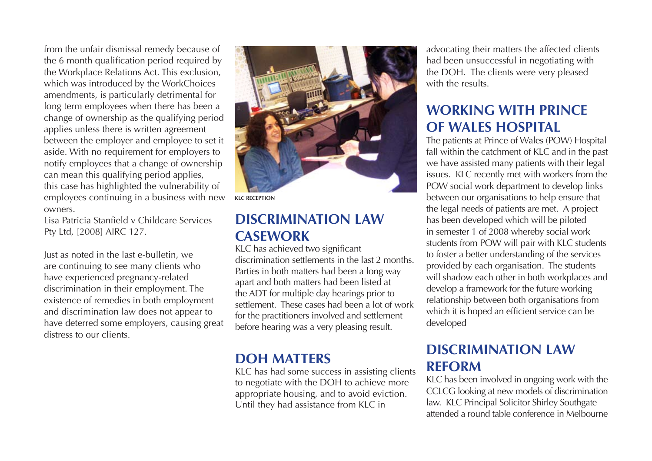from the unfair dismissal remedy because of the 6 month qualification period required by the Workplace Relations Act. This exclusion, which was introduced by the WorkChoices amendments, is particularly detrimental for long term employees when there has been a change of ownership as the qualifying period applies unless there is written agreement between the employer and employee to set it aside. With no requirement for employers to notify employees that a change of ownership can mean this qualifying period applies, this case has highlighted the vulnerability of employees continuing in a business with new owners.

Lisa Patricia Stanfield v Childcare Services Pty Ltd, [2008] AIRC 127.

Just as noted in the last e-bulletin, we are continuing to see many clients who have experienced pregnancy-related discrimination in their employment. The existence of remedies in both employment and discrimination law does not appear to have deterred some employers, causing great distress to our clients.



**klc reception**

#### **Discrimination Law Casework**

KLC has achieved two significant discrimination settlements in the last 2 months. Parties in both matters had been a long way apart and both matters had been listed at the ADT for multiple day hearings prior to settlement. These cases had been a lot of work for the practitioners involved and settlement before hearing was a very pleasing result.

#### **DOH Matters**

KLC has had some success in assisting clients to negotiate with the DOH to achieve more appropriate housing, and to avoid eviction. Until they had assistance from KLC in

advocating their matters the affected clients had been unsuccessful in negotiating with the DOH. The clients were very pleased with the results.

### **Working with Prince of Wales Hospital**

The patients at Prince of Wales (POW) Hospital fall within the catchment of KLC and in the past we have assisted many patients with their legal issues. KLC recently met with workers from the POW social work department to develop links between our organisations to help ensure that the legal needs of patients are met. A project has been developed which will be piloted in semester 1 of 2008 whereby social work students from POW will pair with KLC students to foster a better understanding of the services provided by each organisation. The students will shadow each other in both workplaces and develop a framework for the future working relationship between both organisations from which it is hoped an efficient service can be developed

#### **Discrimination Law Reform**

KLC has been involved in ongoing work with the CCLCG looking at new models of discrimination law. KLC Principal Solicitor Shirley Southgate attended a round table conference in Melbourne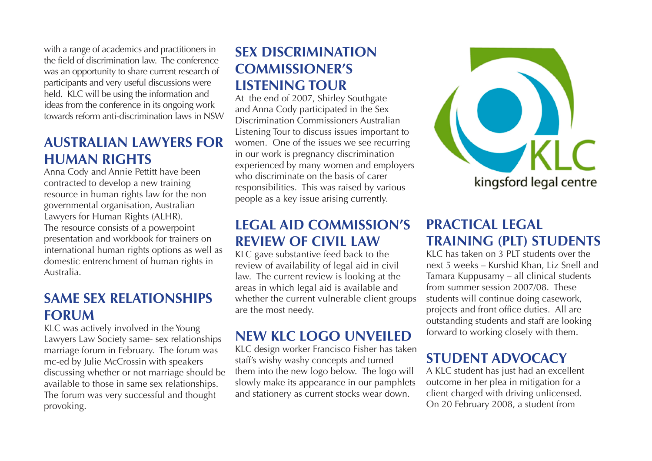with a range of academics and practitioners in the field of discrimination law. The conference was an opportunity to share current research of participants and very useful discussions were held. KLC will be using the information and ideas from the conference in its ongoing work towards reform anti-discrimination laws in NSW

#### **Australian Lawyers for Human Rights**

Anna Cody and Annie Pettitt have been contracted to develop a new training resource in human rights law for the non governmental organisation, Australian Lawyers for Human Rights (ALHR). The resource consists of a powerpoint presentation and workbook for trainers on international human rights options as well as domestic entrenchment of human rights in Australia.

#### **Same sex relationships forum**

KLC was actively involved in the Young Lawyers Law Society same- sex relationships marriage forum in February. The forum was mc-ed by Julie McCrossin with speakers discussing whether or not marriage should be available to those in same sex relationships. The forum was very successful and thought provoking.

# **Sex Discrimination Commissioner's Listening Tour**

At the end of 2007, Shirley Southgate and Anna Cody participated in the Sex Discrimination Commissioners Australian Listening Tour to discuss issues important to women. One of the issues we see recurring in our work is pregnancy discrimination experienced by many women and employers who discriminate on the basis of carer responsibilities. This was raised by various people as a key issue arising currently.

#### **Legal Aid Commission's review of Civil law**

KLC gave substantive feed back to the review of availability of legal aid in civil law. The current review is looking at the areas in which legal aid is available and whether the current vulnerable client groups are the most needy.

### **New KLC Logo Unveiled**

KLC design worker Francisco Fisher has taken staff's wishy washy concepts and turned them into the new logo below. The logo will slowly make its appearance in our pamphlets and stationery as current stocks wear down.



#### **Practical Legal Training (PLT) Students**

KLC has taken on 3 PLT students over the next 5 weeks – Kurshid Khan, Liz Snell and Tamara Kuppusamy – all clinical students from summer session 2007/08. These students will continue doing casework, projects and front office duties. All are outstanding students and staff are looking forward to working closely with them.

# **Student Advocacy**

A KLC student has just had an excellent outcome in her plea in mitigation for a client charged with driving unlicensed. On 20 February 2008, a student from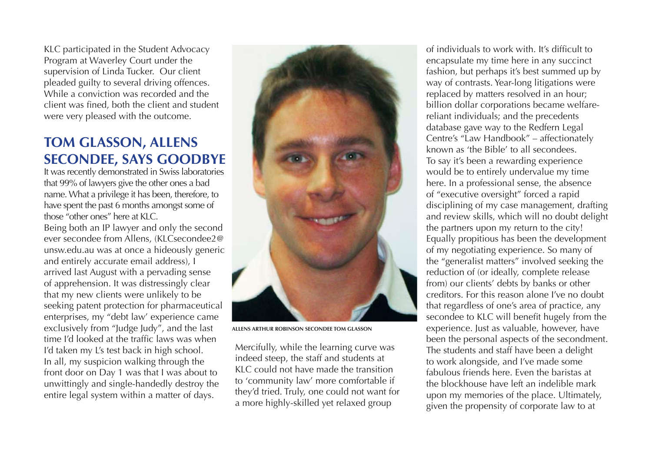KLC participated in the Student Advocacy Program at Waverley Court under the supervision of Linda Tucker. Our client pleaded guilty to several driving offences. While a conviction was recorded and the client was fined, both the client and student were very pleased with the outcome.

#### **Tom Glasson, Allens Secondee, says goodbye**

It was recently demonstrated in Swiss laboratories that 99% of lawyers give the other ones a bad name. What a privilege it has been, therefore, to have spent the past 6 months amongst some of those "other ones" here at KLC.

Being both an IP lawyer and only the second ever secondee from Allens, (KLCsecondee2@ unsw.edu.au was at once a hideously generic and entirely accurate email address), I arrived last August with a pervading sense of apprehension. It was distressingly clear that my new clients were unlikely to be seeking patent protection for pharmaceutical enterprises, my "debt law' experience came exclusively from "Judge Judy", and the last time I'd looked at the traffic laws was when I'd taken my L's test back in high school. In all, my suspicion walking through the front door on Day 1 was that I was about to unwittingly and single-handedly destroy the entire legal system within a matter of days.



**Allens Arthur Robinson Secondee Tom Glasson**

Mercifully, while the learning curve was indeed steep, the staff and students at KLC could not have made the transition to 'community law' more comfortable if they'd tried. Truly, one could not want for a more highly-skilled yet relaxed group

of individuals to work with. It's difficult to encapsulate my time here in any succinct fashion, but perhaps it's best summed up by way of contrasts. Year-long litigations were replaced by matters resolved in an hour; billion dollar corporations became welfarereliant individuals; and the precedents database gave way to the Redfern Legal Centre's "Law Handbook" – affectionately known as 'the Bible' to all secondees. To say it's been a rewarding experience would be to entirely undervalue my time here. In a professional sense, the absence of "executive oversight" forced a rapid disciplining of my case management, drafting and review skills, which will no doubt delight the partners upon my return to the city! Equally propitious has been the development of my negotiating experience. So many of the "generalist matters" involved seeking the reduction of (or ideally, complete release from) our clients' debts by banks or other creditors. For this reason alone I've no doubt that regardless of one's area of practice, any secondee to KLC will benefit hugely from the experience. Just as valuable, however, have been the personal aspects of the secondment. The students and staff have been a delight to work alongside, and I've made some fabulous friends here. Even the baristas at the blockhouse have left an indelible mark upon my memories of the place. Ultimately, given the propensity of corporate law to at